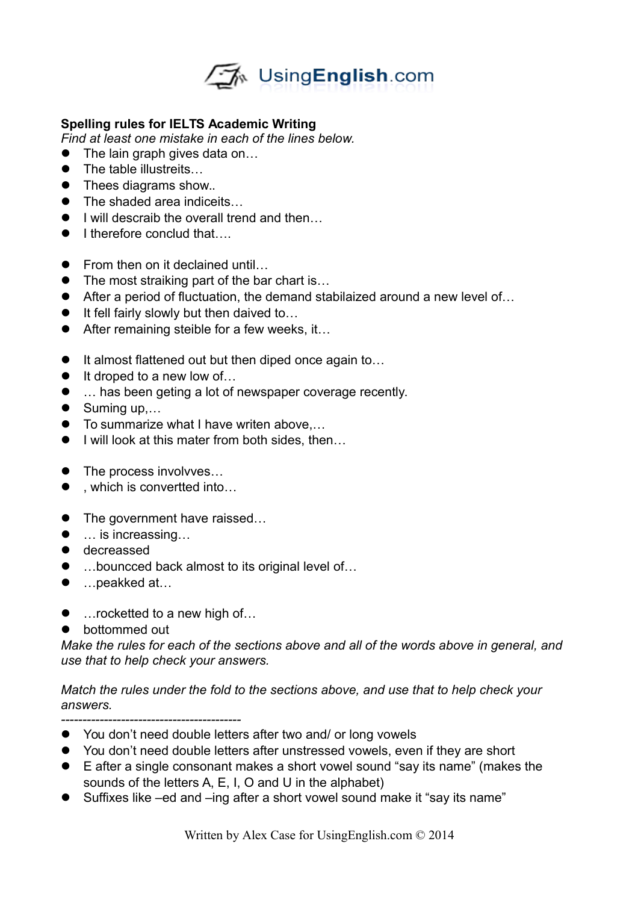

## **Spelling rules for IELTS Academic Writing**

*Find at least one mistake in each of the lines below.* 

- The lain graph gives data on...
- The table illustreits...
- Thees diagrams show...
- The shaded area indiceits...
- $\bullet$  I will descraib the overall trend and then...
- I therefore conclud that….
- From then on it declained until...
- The most straiking part of the bar chart is...
- After a period of fluctuation, the demand stabilaized around a new level of...
- $\bullet$  It fell fairly slowly but then daived to...
- After remaining steible for a few weeks, it...
- It almost flattened out but then diped once again to...
- $\bullet$  It droped to a new low of...
- … has been geting a lot of newspaper coverage recently.
- $\bullet$  Suming up,...
- To summarize what I have writen above,...
- $\bullet$  I will look at this mater from both sides, then...
- The process involvves...
- , which is convertted into...
- The government have raissed...
- … is increassing...
- $\bullet$  decreassed
- …bouncced back almost to its original level of…
- …peakked at…
- …rocketted to a new high of...
- bottommed out

*Make the rules for each of the sections above and all of the words above in general, and use that to help check your answers.* 

*Match the rules under the fold to the sections above, and use that to help check your answers.*

*------------------------------------------* 

- You don't need double letters after two and/ or long vowels
- You don't need double letters after unstressed vowels, even if they are short
- E after a single consonant makes a short vowel sound "say its name" (makes the sounds of the letters A, E, I, O and U in the alphabet)
- Suffixes like –ed and –ing after a short vowel sound make it "say its name"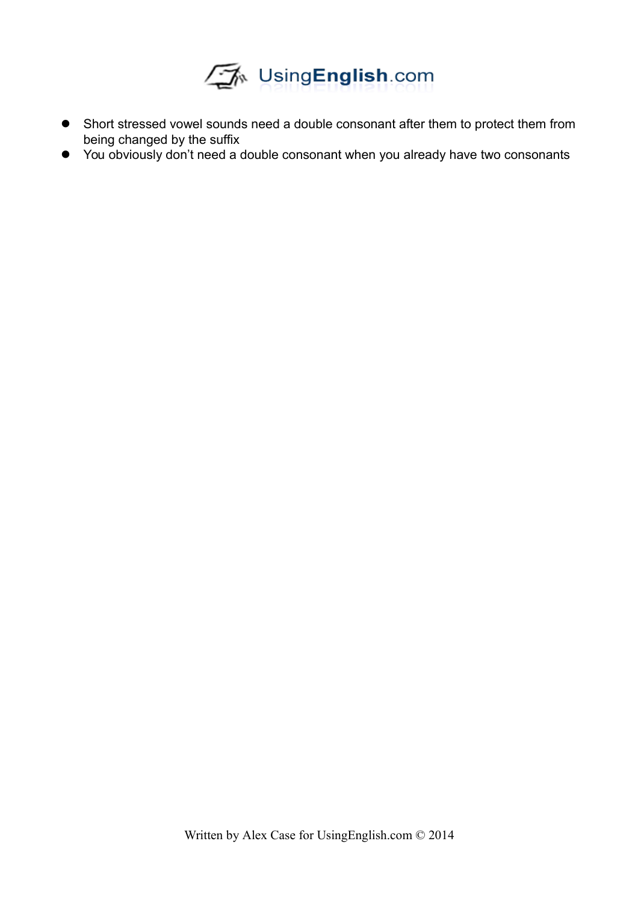

- Short stressed vowel sounds need a double consonant after them to protect them from being changed by the suffix
- You obviously don't need a double consonant when you already have two consonants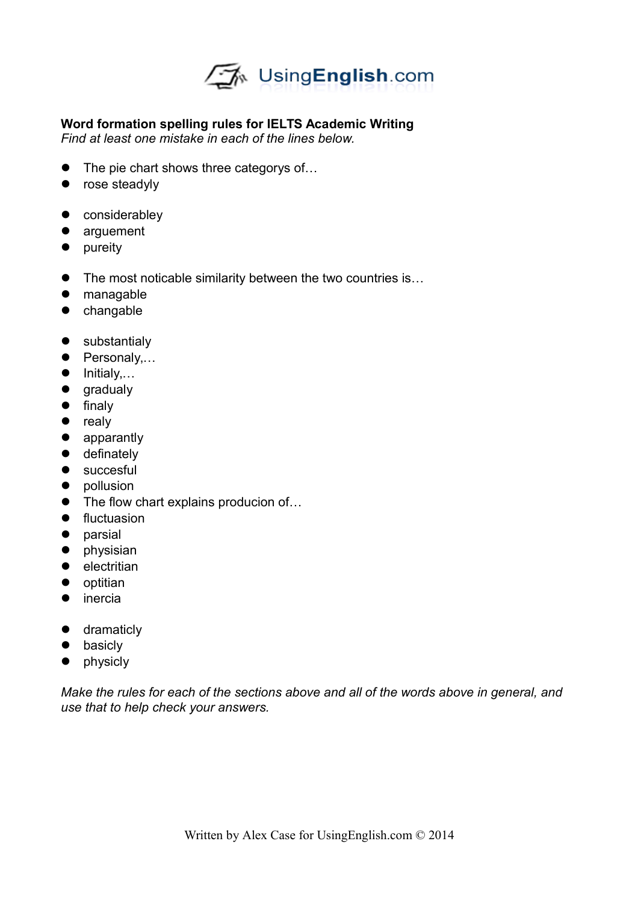

## **Word formation spelling rules for IELTS Academic Writing**

*Find at least one mistake in each of the lines below.* 

- The pie chart shows three categorys of...
- rose steadyly
- considerabley
- arguement
- pureity
- The most noticable similarity between the two countries is...
- managable
- changable
- **•** substantialy
- Personaly,...
- $\bullet$  Initialy,...
- gradualy
- $\bullet$  finaly
- realy
- apparantly
- $\bullet$  definately
- **•** succesful
- pollusion
- The flow chart explains producion of...
- **•** fluctuasion
- **•** parsial
- **•** physisian
- electritian
- optitian
- **•** inercia
- **•** dramaticly
- basicly
- physicly

*Make the rules for each of the sections above and all of the words above in general, and use that to help check your answers.*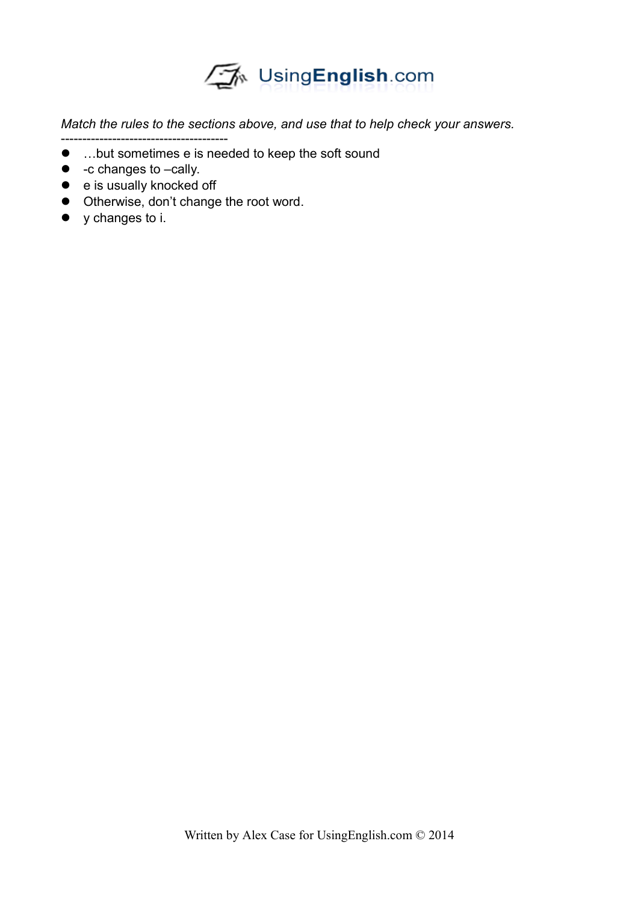

*Match the rules to the sections above, and use that to help check your answers.*

- --------------------------------------- …but sometimes e is needed to keep the soft sound
- -c changes to –cally.
- e is usually knocked off
- $\bullet$  Otherwise, don't change the root word.
- y changes to i.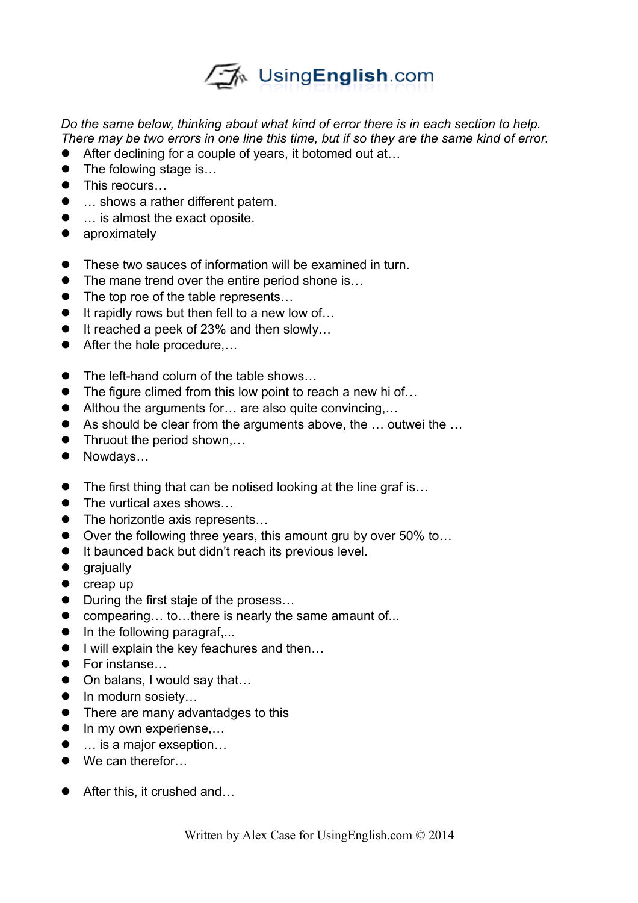

*Do the same below, thinking about what kind of error there is in each section to help. There may be two errors in one line this time, but if so they are the same kind of error.* 

- After declining for a couple of years, it botomed out at...
- The folowing stage is...
- This reocurs...
- … shows a rather different patern.
- … is almost the exact oposite.
- **•** aproximately
- These two sauces of information will be examined in turn.
- The mane trend over the entire period shone is...
- The top roe of the table represents...
- $\bullet$  It rapidly rows but then fell to a new low of...
- $\bullet$  It reached a peek of 23% and then slowly...
- After the hole procedure,...
- The left-hand colum of the table shows...
- The figure climed from this low point to reach a new hi of...
- Althou the arguments for... are also quite convincing....
- As should be clear from the arguments above, the ... outwei the ...
- Thruout the period shown,...
- Nowdays...
- The first thing that can be notised looking at the line graf is...
- The vurtical axes shows...
- The horizontle axis represents...
- Over the following three years, this amount gru by over 50% to...
- $\bullet$  It baunced back but didn't reach its previous level.
- **•** grajually
- $\bullet$  creap up
- During the first staje of the prosess...
- compearing... to...there is nearly the same amaunt of...
- $\bullet$  In the following paragraf,...
- I will explain the key feachures and then...
- For instanse...
- On balans, I would say that...
- In modurn sosiety...
- There are many advantadges to this
- In my own experiense,...
- … is a major exseption...
- We can therefor...
- After this, it crushed and...